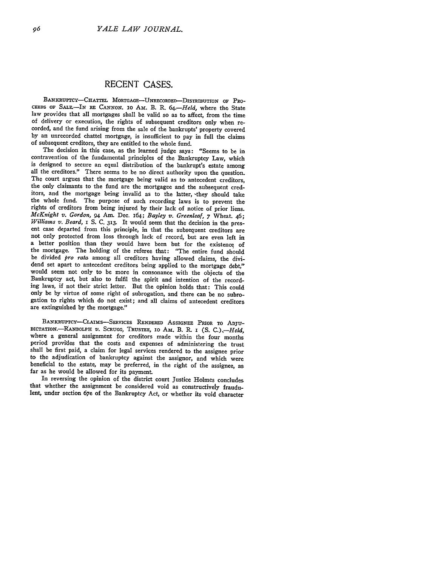## **RECENT CASES.**

BANKRUPTCY-CHATTEL MORTGAGE-UNRECORDED-DISTRIBUTION OF PRO-**CEEDS** OF SAIE.-IN RE CANNON. **IO** AM. B. R. *64.-Held,* where the State law provides that all mortgages shall be valid so as to affect, from the time corded, and the fund arising from the sale of the bankrupts' property covered by an unrecorded chattel mortgage, is insufficient to pay in full the claims of subsequent creditors, they are entitled to the whole fund.

The decision in this case, as the learned judge says: "Seems to be in contravention of the fundamental principles of the Bankruptcy Law, which<br>is designed to secure an equal distribution of the bankrupt's estate among all the creditors." There seems to be no direct authority upon the question.<br>The court argues that the mortgage being valid as to antecedent creditors. the only claimants to the fund are the mortgagee and the subsequent creditors, and the mortgage being invalid as to the latter, -they should take the whole fund. The purpose of such recording laws is to prevent the rights of creditors from being injured by their lack of notice of prior liens. *McKnight v. Gordon,* 94 Am. Dec. 164; *Bayley v. Greenleaf,* 7 Wheat. 46; *Williams v. Beard,* I S. C. 313. It would seem that the decision in the present case departed from this principle, in that the subsequent creditors are not only protected from loss through lack of record, but are even left in a better position than they would have been but for the existence of the mortgage. The holding of the referee that: "The entire fund should be divided *pro rata* among all creditors having allowed claims, the dividend set apart to antecedent creditors being applied to the mortgage debt," would seem not only to be more in consonance with the objects of the Bankruptcy act, but also to fulfil the spirit and intention of the recording laws, if not their strict letter. But the opinion holds that: This could only be by virtue of some right of subrogation, and there can be no subrogation to rights which do not exist; and all claims of antecedent creditors are extinguished by the mortgage"

BANKRUPTCY-CLAIMS-SERVICES RENDERED ASSIGNEE PRIOR TO ADJU-DICTATION.-RANDOLPH *V.* **SCRUGG,** TRusTEE, **I0** Am. B. R. I **(S.** *C.) --Held,* where a general assignment for creditors made within the four months period provides that the costs and expenses of administering the trust shall be first paid, a claim for legal services rendered to the assignee prior beneficial to the estate, may be preferred, in the right of the assignee, as far as he would be allowed for its payment.

In reversing the opinion of the district court Justice Holmes concludes that whether the assignment be considered void as constructively fraudulent, under section 67e of the Bankruptcy Act, or whether its void character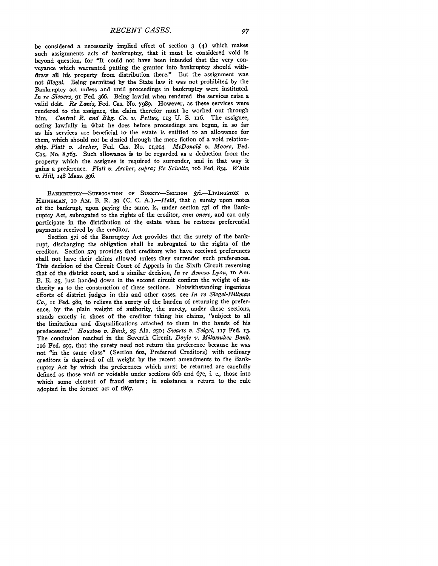be considered a necessarily implied effect of section **3** (4) which makes such assignments acts of bankruptcy, that it must be considered void is beyond question, for "It could not have been intended that the very conveyance which warranted putting the grantor into bankruptcy should withdraw all his property from distribution there." But the assignment was not *illegal.* Being permitted **by** the State law it was not prohibited **by** the Bankruptcy act unless and until proceedings in bankruptcy were instituted. *In re Sievers,* **91** Fed. **366.** Being lawful when rendered the services raise a valid debt. *Re Lanis,* Fed. Cas. **No. 7989.** However, as these services were rendered to the assignee, the claim therefor must be worked out through him. *Central R. and Bkg. Co. v. Pettus*, 113 U. S. 116. The assignee, acting lawfully in what he does before proceedings are begun, in so far as his services are beneficial to the estate is entitled to an allowance for them, which should not be denied through the mere fiction of a void relationship. *Platt v. Archer,* Fed. Cas. No. 11,214. *McDonald v. Moore,* Fed. Cas. **No.** 8,763. Such allowance is to be regarded as a deduction from the property which the assignee is required to surrender, and in that way it gains a preference. *Platt v. Archer, supra; Re Scholtz,* io6 Fed. 834. *White v. Hill,* 148 Mass. **396.**

BANKRUPTCY-SUBROGATION OF SURETY-SECTION 57i.-LIVINGSTON  $v$ . **HEiNEMAN, IO** AM. B. R. 39 (C. C. *A.).-Held,* that a surety upon notes **of** the bankrupt, upon paying the same, is, under section 57i of the Bankruptcy Act, subrogated to the rights of the creditor, *cum onere,* and can only participate in the distribution of the estate when he restores preferential payments received by the creditor.

Section 57i of the Banruptcy Act provides that the surety of the bankrupt, discharging the obligation shall be subrogated to the rights of the creditor. Section *57q* provides that creditors who have received preferences shall not have their claims allowed unless they surrender such preferences. This decision of the Circuit Court of Appeals in the Sixth Circuit reversing that of the district court, and a similar decision, *In re Amasa Lyon,* io Am. B. **R. 25,** just handed down in the second circuit confirm the weight of authority as to the construction of these sections. Notwithstanding ingenious efforts of district judges in this and other cases, see *In re Siegel-Hillman Co.,* **ii** Fed. 98o, to relieve the surety of the burden of returning the preference, by the plain weight of authority, the surety, under these sections, stands exactly in shoes of the creditor taking his claims, "subject to all the limitations and disqualifications attached to them in the hands of his predecessor." *Houston v. Bank,* **25** Ala. **250;** *Swarts v. Seigel,* **117** Fed. **13.** The conclusion reached in the Seventh Circuit, *Doyle v. Milwaukee Bank,* 1i6 Fed. **295,** that the surety need not return the preference because he was not "in the same class" (Section 6oa, Preferred Creditors) with ordinary creditors is deprived **of** all weight **by** the recent amendments to the Bankruptcy Act by which the preferences which must be returned are carefully defined as those void or voidable under sections 6ob and 67e, i. e., those into which some element of fraud enters; in substance a return to the rule adopted in the former act of 1867.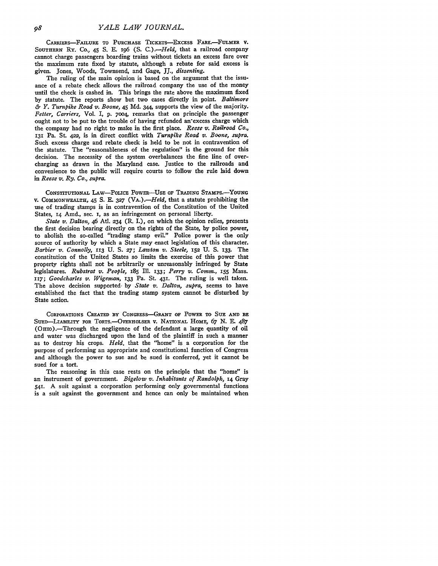CARRIERs-FALURE TO PURCHASE TICKES--EXCESS FARE.-FuLMER **V. SOUTHERNT** Ry. Co., 45 **S. E.** i96 (S. *C.).-Held,* that a railroad company cannot charge passengers boarding trains without tickets an excess fare over the maximum rate fixed **by** statute, although a rebate for said excess is given. Jones, Woods, Townsend, and Gage, JJ., *dissenting.*

The ruling of the main opinion is based on the argument that the issuance of a rebate check allows the railroad company the use of the money until the check is cashed in. This brings the rate above the maximum fixed **by** statute. The reports show but two cases directly in point. *Baltimore & Y. Turnpike Road v. Boone,* 45 **Md.** 344, supports the view **of** the majority. *Fetter, Carriers,* Vol. I, p. **7oo4,** remarks that on principle the passenger ought not to be put to the trouble of having refunded an-excess charge which the company had no right to make in the first place. *Reese v. Railroad Co.,* **131** Pa. St. 422, is in direct conflict with *Turnpike Road v. Boone, supra.* Such excess charge and rebate check is held to be not in contravention of the statute. The "reasonableness of the regulation" is the ground for this decision. The necessity of the system overbalances the fine line of overcharging as drawn in the Maryland case. Justice to the railroads and convenience to the public will require courts to follow the rule laid down in *Reese v. Ry. Co., supra.*

CONSTITUTIONAL LAw-PoLIcE **PowER-UsE** OF **TRADING STAMPs.-YOUNG** v. **COMMONWEALTH,** 45 **S.** E. **327** (VA.)-Held, that a statute prohibiting the use of trading stamps is in contravention of the Constitution of the United States, 14 Amd., sec. **I,** as an infringement on personal liberty.

*State v. Dalton,* 46 Atl. 234 (R. I.), on which the opinion relies, presents the first decision bearing directly on the rights of the State, **by** police power, to abolish the so-called "trading stamp evil." Police power is the only source of authority by which a State may enact legislation of this character. *Barbier v. Connolly,* **113** U. **S. 27;** *Lawton v. Steele,* **152** U. S. **133.** The constitution of the United States so limits the exercise of this power that property rights shall not be arbitrarily or unreasonably infringed **by** State legislatures. *Rubstrat v. People,* i85 Ill. 133; *Perry v. Comm.,* **i55** Mass. *117; Goodcharles v,. Wigeman, 133* Pa. St. **431.** The ruling is well taken. The above decision supported, **by** *State v. Dalton, supra,* seems to have established the fact that the trading stamp system cannot be disturbed by State action.

**CORPORATIONS CREATED 3Y CONGRESS-GRANT OF PowER TO SUE AND BE** SUED-LIABILITY FOR TORTS.-OVERHOLSER V. NATIONAL HOME, 67 N. E. 487 (OHIO).-Through the negligence of the defendant a large quantity of oil and water was discharged upon the land of the plaintiff in such a manner as to destroy his crops. *Held.* that the "home" is a corporation for the purpose of performing an appropriate and constitutional function of Congress and although the power to sue and be sued is conferred, yet it cannot be sued for a tort.

The reasoning in this case rests on the principle that the "home" is an instrument of government. *Bigelow v. Inhabitants of Randolph,* **14** Gray **541.** A suit against a corporation performing only governmental functions is a suit against the government and hence can only be maintained when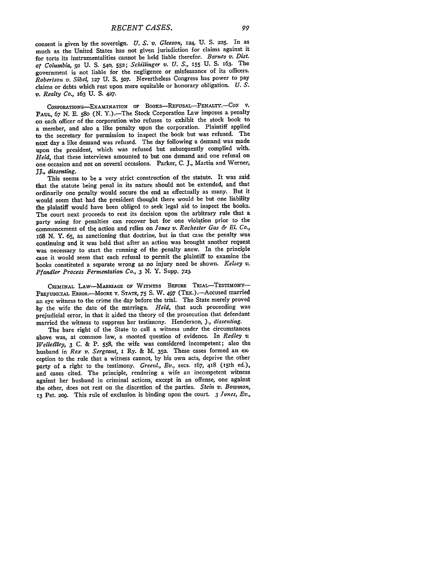consent is given by the sovereign. *U. S. v. Gleeson,* 124, U. S. **225.** In as much as the United States has not given jurisdiction for claims against it for torts its instrumentalities cannot be held liable therefor. *Barnes v. Dist. ot Columbia,* **91** U. **S. 540, 552;** *Schillinger v. U. S.,* 155 U. **S.** 163. The government is not liable for the negligence or misfeasance of its officers. *Robertson v. Sibel,* **127** U. S. 507. Nevertheless Congress has power to pay claims or debts which rest upon mere equitable or honorary obligation. *U. S. v. Realty Co.,* 163 U. S. 427.

COPORAnTIONs-EXAMINATION **OF BOOKS-REFUSAL-PENALTY-.--Cox** v. PAUL, 67 N. E. 580 (N. Y.).-The Stock Corporation Law imposes a penalty on each officer of the corporation who refuses to exhibit the stock book to a member, and also a like penalty upon the corporation. Plaintiff applied to the secretary for permission to inspect the book but was refused. The next day a like demand was refused. The day following a demand was made upon the president, which was refused but subsequently complied with. *Held,* that these interviews amounted to but one demand and one refusal on one occasion and not on several occasions. Parker, C. *J.,* Martin and Werner, *JJ., dissenting.*

This seems to be a very strict construction of the statute. It was said that the statute being penal in its nature should not be extended, and that ordinarily one penalty would secure the end as effectually as many. But it would seem that had the president thought there would be but one liability the plaintiff would have been obliged to seek legal aid to inspect the books. The court next proceeds to rest its decision upon the arbitrary rule that a party suing for penalties can recover but for one violation prior to the commencement of the action and relies on *Jones v. Rochester Gas & El. Co.,* 168 N. Y. **65,** as sanctioning that doctrine, but in that case the penalty was continuing and it was held that after an action was brought another request was necessary to start the running of the -penalty anew. In the principle case it would seem that each refusal to permit the plaintiff to examine the books constituted a separate wrong as no injury need be shown. *Kelsey v. Pfandler Process Fermentation Co.,* 3 **N.** Y. Supp. **723.**

CRIMINAL LAW-MARRIAGE OF WITNESS BEFORE TRIAL-TESTIMONY-PREJUDICIAL ERROR.-MOORE V. STATE, 75 S. W. 497 (TEX.).-Accused married an eye witness to the crime the day before the trial. The State merely proved **by** the wife the date of the marriage. *Held,* that such proceeding was prejudicial error, in that it aided the theory of the prosecution that defendant married the witness to suppress her testimony. Henderson, **).,** *dissenting.*

The bare right of the State to call a witness under the circumstances above was, at common law, a mooted question of evidence. In *Redley u Welleflley,* 3 C. & P. **558,** the wife was considered incompetent; also the husband in *Rex v. Sergeant,* i Ry. & M. **352.** These cases formed an ex. ception to the rule that a witness cannot, by his own acts, deprive the other party of a right to the testimony. *Greenl., Ev.*, secs. 167, 418 (15th ed.), and cases cited. The principle, rendering a wife an incompetent witness against her husband in criminal actions, except in an offense, one against the other, does not rest on the discretion of the parties. *Stein v. Bowman,* **13** Pet. **209.** This rule of exclusion is binding upon the court. 3 *Jones, Ev.,*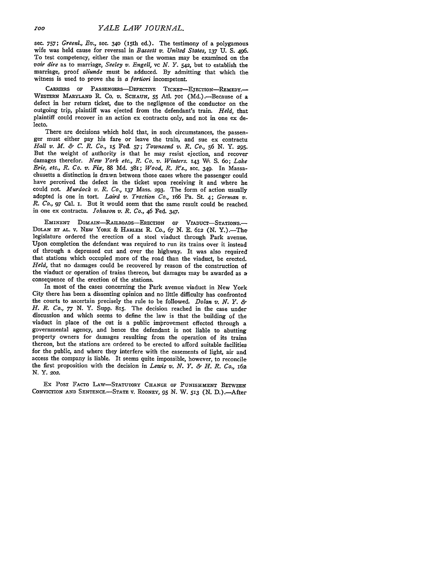sec. 757; *Greenl., Ev.*, sec. 340 (15th ed.). The testimony of a polygamous wife was held cause for reversal in *Bassett v. United States,* **137** U. *S. 496.* To test competency, either the man or the woman may be examined on the *voir dire* as to marriage, *Seeley v. Engell, vc N. Y. 542,* but to establish the marriage, proof *aliunde* must be adduced. By admitting that which the witness is used to prove she is *a fortiori* incompetent.

CARRIERS OF PASSENGERS-DEFECTIVE TICKET-ETECTION-REMEDY.-**WESTERN** MARYLAND R. Co. *V.* SCHAUN, 55 Atl. **701** (Md.).-Because of a defect in her return ticket, due to the negligence of the conductor on the outgoing trip, plaintiff was ejected from the defendant's train. *Held,* that plaintiff could recover in an action ex contractu only, and not in one ex delecto.

There are decisions which hold that, in such circumstances, the passenger must either pay his fare or leave the train, and sue ex contractu *Hall v. M. & C. R. Co.,* **15** Fed. *57; Townsend v. R. Co., 56 N.* Y. **295.** But the weight of authority is that he may resist ejection, and recover damages therefor. *New York etc., R. Co. v. Winters.* **143** W. S. 6o; *Lake Erie, etc., R. Co. v. Fix,* 88 Md. 381; *Wood, R. R's.,* sec. 349. In Massachusetts a distinction is drawn between those cases where the passenger could have perceived the defect in the ticket upon receiving it and where he could not. *Murdock v. R. Co.,* **137** Mass. **293.** The form of action usually adopted is one in tort. *Laird v. Traction Co., I66* Pa. St. 4; *Gorman v. R. Co., 97* Cal. **I.** But it would seem that the same result could be reached in one ex contractu. *Johnson v. R. Co.,* 46 Fed. 347.

EMINENT DOMAIN-RAILROADS-ERECTION OF VIADUCT-STATIONS. DOLAN ET AL. V. NEW YORK & HARLEM R. Co., 67 N. E. 612 (N. Y.).<sup>-The</sup> legislature ordered the erection of a steel viaduct through Park avenue. Upon completion the defendant was required to run its trains over it instead of through a depressed cut and over the highway. It was also required that stations which occupied more of the road than the viaduct, be erected. *Held,* that no damages could be recovered **by** reason of the construction of the viaduct or operation of trains thereon, but damages may be awarded as **a** consequence of the erection of the stations.

In most of the cases concerning the Park avenue viaduct in New York City there has been a dissenting opinion and no little difficulty has confronted the courts to ascertain precisely the rule to be followed. *Dolan v. N. Y. & H. R. Co., 77* **N.** Y. Supp. 815. The decision reached in the case under discussion and which seems to define the law is that the building of the viaduct in place of the cut is a public improvement effected through a governmental agency, and hence the defendant is not liable to abutting property owners for damages resulting from the operation of its trains thereon, but the stations are ordered to be erected to afford suitable facilities for the public, and where they interfere with the easements of light, air and access the company is liable. It seems quite impossible, however, to reconcile the first proposition with the decision in *Lewis v. N. Y. & H. R. Co., I6a* **N.** Y. *2o2.*

Ex POST FACTO LAw-STATUTORY **CHANGE** OF **PUNISHMENT** BETWEEN CONVICTION **AND SENTENCE.-STATE** v. ROONEY, **95** N. W. **513** (N. D.).-After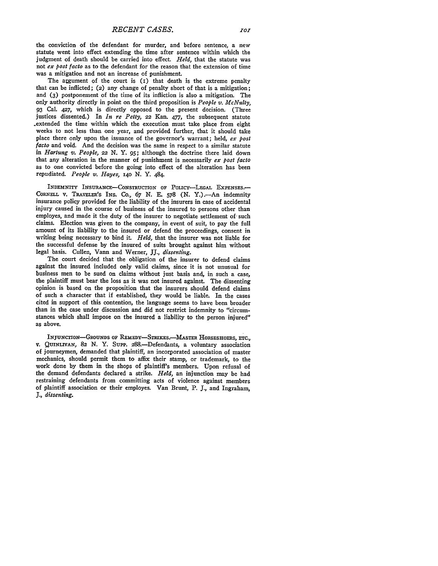the conviction of the defendant for murder, and before sentence, a new statute went into effect extending the time after sentence within which the judgment of death should be carried into effect. *Held,* that the statute was not *ex post facto* as to the defendant for the reason that the extension of time was a mitigation and not an increase of punishment.

The argument of the court is  $(i)$  that death is the extreme penalty that can be inflicted; (2) any change of penalty short of that is a mitigation; and **(3)** postponement of the time of its infliction is also a mitigation. The only authority directly in point on the third proposition is *People v. McNulty,* **93** Cal. **427,** which is directly opposed to the present decision. (Three justices dissented.) In *In re Petty,* **22** Kan. **477,** the subsequent statute .extended the time within which the execution must take place from eight weeks to not less than one year, and provided further, that it should take place there only upon the issuance of the governor's warrant; held, *ex post facto* and void. And the decision was the same in respect to a similar statute in *Hartung v. People, 22* **N.** Y. **95;** although the doctrine there laid down that any alteration in the manner of punishment is necessarily *ex post facto* as to one convicted before the going into effect of the alteration has been repudiated. *People v. Hayes,* **i4o** N. Y. 484.

INDEMNITY INSURANCE-CONSTRUCTION OF POLICY-LEGAL EXPENSES.-CORNELL V. TRAVELER'S INS. Co., 67 N. E. 578 (N. Y.).-- An indemnity insurance policy provided for the liability of the insurers in case of accidental injury caused in the course of business of the insured to persons other than employes, and made it the duty of the insurer to negotiate settlement **of** such claims. Election was given to the company, in event of suit, to pay the full amount of its liability to the insured or defend the proceedings, consent in writing being necessary to bind it. *Held,* that the insurer was not liable for the successful defense **by** the insured of suits brought against him without legal basis. Cullen, Vann and Werner, JJ., *dissenting.*

The court decided that the obligation of the insurer to defend claims against the insured included only valid claims, since it is not unusual for business men to be sued on claims without just basis and, in such a case, the plaintiff must bear the loss as it was not insured against. The dissenting opinion is based on the proposition that the insurers should defend claims of such a character that if established, they would be liable. In the cases cited in support of this contention, the language seems to have been broader than in the case under discussion and did not restrict indemnity to "circumstances which shall impose on the insured a liability to the person injured" as above.

INJUNcTION-GROUNDS OF REMEDY-STRIKES.-MASTER HORSESHOERS, **ETC.,** v. QUINLIvAN, 82 N. Y. Supp. 288.-Defendants, a voluntary association of journeymen, demanded that plaintiff, an incorporated association of master mechanics, should permit them to affix their stamp, or trademark, to the work done **by** them in the shops of plaintiff's members. Upon refusal of the demand defendants declared a strike. *Held,* an injunction may be had restraining defendants from committing acts of violence against members of plaintiff association or their employes. Van Brunt, P. **J.,** and Ingraham, **J.,** *dissenting.*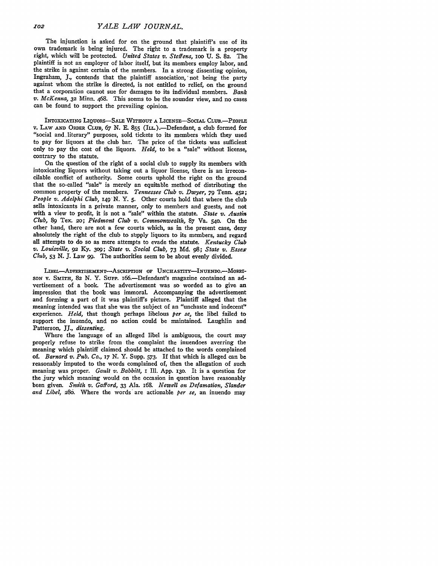The injunction is asked for on the ground that plaintiff's use of its own trademark is being injured. The right to a trademark is a property right, which will be protected. *United States v.* Steffens, **ioo** U. S. **82.** The plaintiff is not an employer of labor itself, but its members employ labor, and the strike is against certain of the members. In a strong dissenting opinion, Ingraham, **J.,** contends that the plaintiff association,' not being the party against whom the strike is directed, is not entitled to relief, on the ground that a corporation cannot sue for damages to its individual members. *Bank v. McKenna,* 32 Minn. 468. This seems to be the sounder view, and no cases can be found to support the prevailing opinion.

INTOXICATING LIQUORS-SALE WITHOUT A LICENSE-SOCIAL CLUB.-PEOPLE v. LAW **AND** ORDER CLUB, 67 N. E. **855** (ILL).-Defendant, a club formed for "social and, literary" purposes, sold tickets to its members which they used to pay for liquors at the club bar. The price of the tickets was sufficient only to pay the cost of the liquors. *Held,* to be a "sale" without license, contrary to the statute.

On the question of the right of a social club to supply its members with intoxicating liquors without taking out a liquor license, there is an irreconcilable conflict of authority. Some courts uphold the right on the ground that the so-called "sale' is merely an equitable method of distributing the common property of the members. *Tennessee Club v. Dwyer, 79* Tenn. 452; *People v. Adelphi Club, 149'* N. **Y.** 5. Other courts hold that where the club sells intoxicants in a private manner, only to members and guests, and not with a view to profit, it is not a "sale" within the statute. *State v. Austin Club,* **89** Tex. 20; *Piedmont Club v. Commonwealth,* 87 Va. 540. On the other hand, there are not a few courts which, as in the present case, deny absolutely the right of the club to supply liquors to its members, and regard all attempts to do so as mere attempts to evade the statute. *Kentucky Club v. Louisville,* 92 **Ky.** 309; *State v. Social Club, 73* **Md. 98;** *State v. Essex Club,* **53 N. J.** Law **99.** The authorities seem to be about evenly divided.

LIBEL-ADVERTISEMENT--ASCRIPTION OF UNCHASTITY-INUENDO.--MORRI-SON v. **SmITH,** 82 N. Y. **SUP'.** i66.-Defendant's magazine contained an advertisement of a book. The advertisement was so worded as to give an impression that the book was immoral. Accompanying the advertisement and forming a part of it was plaintiff's picture. Plaintiff alleged that the meaning intended was that she was the subject of an "unchaste and indecent" experience *Held,* that though perhaps libelous *per se,* the libel failed to support the inuendo, and no action could be maintained. Laughlin and Patterson, **JJ.,** *dissenting.*

Where the language of an alleged libel is ambiguous, the court may properly refuse to strike from the complaint the inuendoes averring the meaning which plaintiff claimed should be attached to the words complained of. *Barnard v. Pub. Co., 17* **N.** Y. Supp. *573.* If that which is alleged can be reasonably imputed to the words complained of, then the allegation of such meaning was proper. *Gault v. Babbitt,* I Ill. **App.** i3o. It is a question for the jury which meaning would on the occasion in question have reasonably been given. *Smith* v. Gafford, **33** Ala. 168. *Newell on Defamation, Slander and Libel,* **286.** Where the words are actionable *per se,* an inuendo may